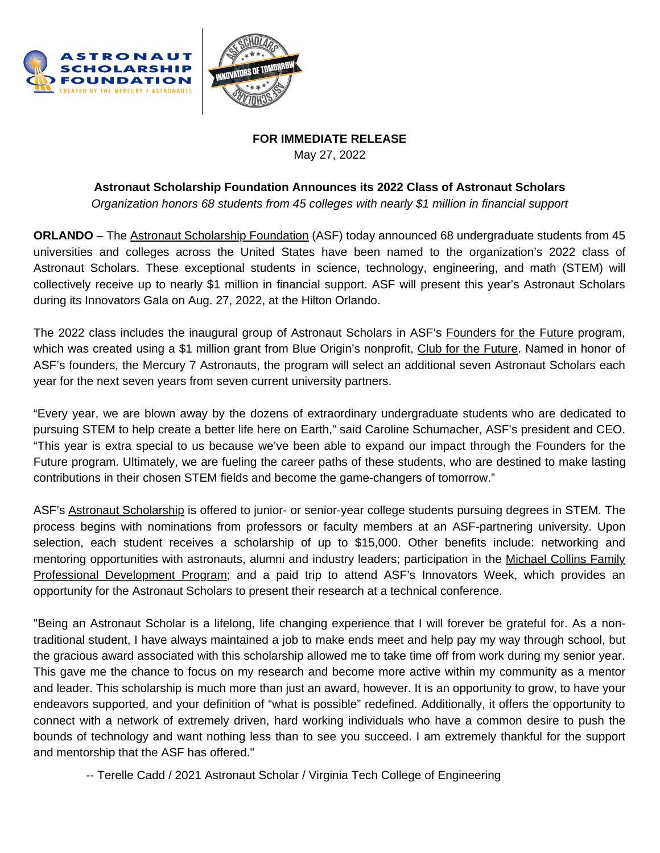



## **FOR IMMEDIATE RELEASE** May 27, 2022

## **Astronaut Scholarship Foundation Announces its 2022 Class of Astronaut Scholars**

*Organization honors 68 students from 45 colleges with nearly \$1 million in financial support*

**ORLANDO** – The Astronaut [Scholarship](https://astronautscholarship.org/) Foundation (ASF) today announced 68 undergraduate students from 45 universities and colleges across the United States have been named to the organization's 2022 class of Astronaut Scholars. These exceptional students in science, technology, engineering, and math (STEM) will collectively receive up to nearly \$1 million in financial support. ASF will present this year's Astronaut Scholars during its Innovators Gala on Aug. 27, 2022, at the Hilton Orlando.

The 2022 class includes the inaugural group of Astronaut Scholars in ASF's [Founders](https://astronautscholarship.org/assets/2022-founders-for-the-future-press-release.pdf) for the Future program, which was created using a \$1 million grant from Blue Origin's nonprofit, Club for the [Future](https://www.clubforfuture.org/). Named in honor of ASF's founders, the Mercury 7 Astronauts, the program will select an additional seven Astronaut Scholars each year for the next seven years from seven current university partners.

"Every year, we are blown away by the dozens of extraordinary undergraduate students who are dedicated to pursuing STEM to help create a better life here on Earth," said Caroline Schumacher, ASF's president and CEO. "This year is extra special to us because we've been able to expand our impact through the Founders for the Future program. Ultimately, we are fueling the career paths of these students, who are destined to make lasting contributions in their chosen STEM fields and become the game-changers of tomorrow."

ASF's Astronaut [Scholarship](https://astronautscholarship.org/scholarshipprogram.html) is offered to junior- or senior-year college students pursuing degrees in STEM. The process begins with nominations from professors or faculty members at an ASF-partnering university. Upon selection, each student receives a scholarship of up to \$15,000. Other benefits include: networking and mentoring opportunities with astronauts, alumni and industry leaders; participation in the Michael Collins Family Professional [Development](https://astronautscholarship.org/professionaldevelopmentprogram.html) Program; and a paid trip to attend ASF's Innovators Week, which provides an opportunity for the Astronaut Scholars to present their research at a technical conference.

"Being an Astronaut Scholar is a lifelong, life changing experience that I will forever be grateful for. As a nontraditional student, I have always maintained a job to make ends meet and help pay my way through school, but the gracious award associated with this scholarship allowed me to take time off from work during my senior year. This gave me the chance to focus on my research and become more active within my community as a mentor and leader. This scholarship is much more than just an award, however. It is an opportunity to grow, to have your endeavors supported, and your definition of "what is possible" redefined. Additionally, it offers the opportunity to connect with a network of extremely driven, hard working individuals who have a common desire to push the bounds of technology and want nothing less than to see you succeed. I am extremely thankful for the support and mentorship that the ASF has offered."

-- Terelle Cadd / 2021 Astronaut Scholar / Virginia Tech College of Engineering